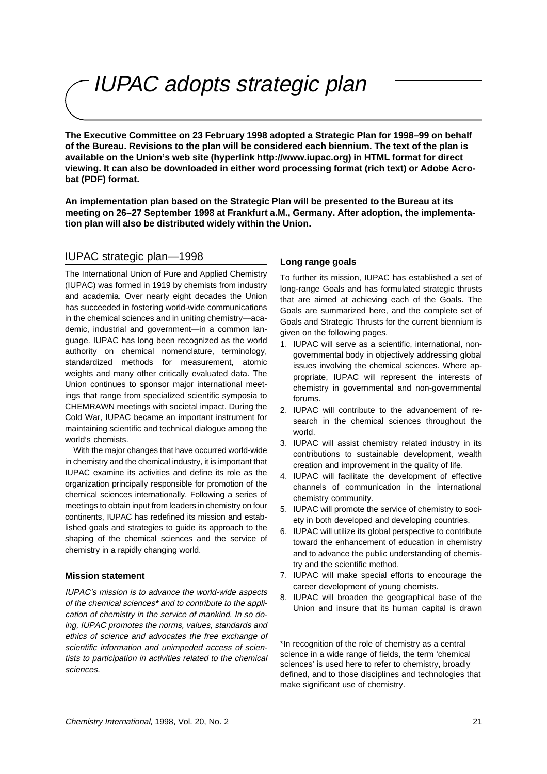# IUPAC adopts strategic plan

**The Executive Committee on 23 February 1998 adopted a Strategic Plan for 1998–99 on behalf of the Bureau. Revisions to the plan will be considered each biennium. The text of the plan is available on the Union's web site (hyperlink http://www.iupac.org) in HTML format for direct viewing. It can also be downloaded in either word processing format (rich text) or Adobe Acrobat (PDF) format.**

**An implementation plan based on the Strategic Plan will be presented to the Bureau at its meeting on 26–27 September 1998 at Frankfurt a.M., Germany. After adoption, the implementation plan will also be distributed widely within the Union.**

## IUPAC strategic plan—1998

The International Union of Pure and Applied Chemistry (IUPAC) was formed in 1919 by chemists from industry and academia. Over nearly eight decades the Union has succeeded in fostering world-wide communications in the chemical sciences and in uniting chemistry—academic, industrial and government—in a common language. IUPAC has long been recognized as the world authority on chemical nomenclature, terminology, standardized methods for measurement, atomic weights and many other critically evaluated data. The Union continues to sponsor major international meetings that range from specialized scientific symposia to CHEMRAWN meetings with societal impact. During the Cold War, IUPAC became an important instrument for maintaining scientific and technical dialogue among the world's chemists.

With the major changes that have occurred world-wide in chemistry and the chemical industry, it is important that IUPAC examine its activities and define its role as the organization principally responsible for promotion of the chemical sciences internationally. Following a series of meetings to obtain input from leaders in chemistry on four continents, IUPAC has redefined its mission and established goals and strategies to guide its approach to the shaping of the chemical sciences and the service of chemistry in a rapidly changing world.

#### **Mission statement**

IUPAC's mission is to advance the world-wide aspects of the chemical sciences\* and to contribute to the application of chemistry in the service of mankind. In so doing, IUPAC promotes the norms, values, standards and ethics of science and advocates the free exchange of scientific information and unimpeded access of scientists to participation in activities related to the chemical sciences.

#### **Long range goals**

To further its mission, IUPAC has established a set of long-range Goals and has formulated strategic thrusts that are aimed at achieving each of the Goals. The Goals are summarized here, and the complete set of Goals and Strategic Thrusts for the current biennium is given on the following pages.

- 1. IUPAC will serve as a scientific, international, nongovernmental body in objectively addressing global issues involving the chemical sciences. Where appropriate, IUPAC will represent the interests of chemistry in governmental and non-governmental forums.
- 2. IUPAC will contribute to the advancement of research in the chemical sciences throughout the world.
- 3. IUPAC will assist chemistry related industry in its contributions to sustainable development, wealth creation and improvement in the quality of life.
- 4. IUPAC will facilitate the development of effective channels of communication in the international chemistry community.
- 5. IUPAC will promote the service of chemistry to society in both developed and developing countries.
- 6. IUPAC will utilize its global perspective to contribute toward the enhancement of education in chemistry and to advance the public understanding of chemistry and the scientific method.
- 7. IUPAC will make special efforts to encourage the career development of young chemists.
- 8. IUPAC will broaden the geographical base of the Union and insure that its human capital is drawn

<sup>\*</sup>In recognition of the role of chemistry as a central science in a wide range of fields, the term 'chemical sciences' is used here to refer to chemistry, broadly defined, and to those disciplines and technologies that make significant use of chemistry.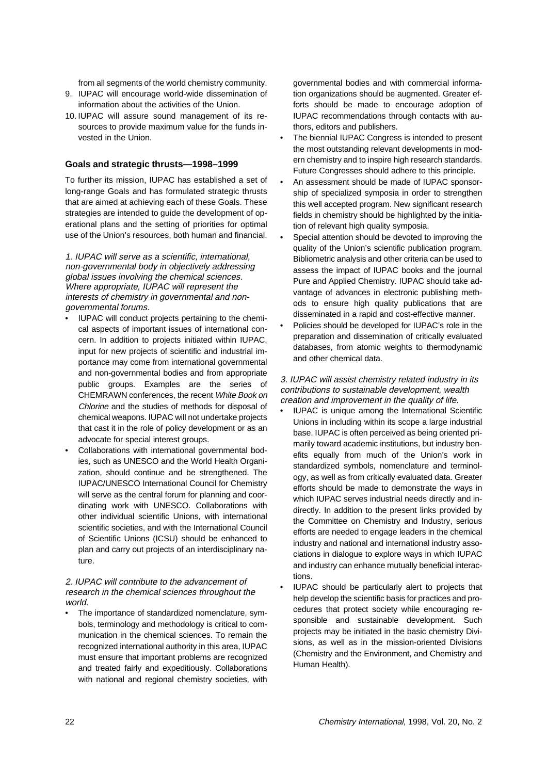from all segments of the world chemistry community.

- 9. IUPAC will encourage world-wide dissemination of information about the activities of the Union.
- 10. IUPAC will assure sound management of its resources to provide maximum value for the funds invested in the Union.

## **Goals and strategic thrusts—1998–1999**

To further its mission, IUPAC has established a set of long-range Goals and has formulated strategic thrusts that are aimed at achieving each of these Goals. These strategies are intended to guide the development of operational plans and the setting of priorities for optimal use of the Union's resources, both human and financial.

1. IUPAC will serve as a scientific, international, non-governmental body in objectively addressing global issues involving the chemical sciences. Where appropriate, IUPAC will represent the interests of chemistry in governmental and nongovernmental forums.

- IUPAC will conduct projects pertaining to the chemical aspects of important issues of international concern. In addition to projects initiated within IUPAC, input for new projects of scientific and industrial importance may come from international governmental and non-governmental bodies and from appropriate public groups. Examples are the series of CHEMRAWN conferences, the recent White Book on Chlorine and the studies of methods for disposal of chemical weapons. IUPAC will not undertake projects that cast it in the role of policy development or as an advocate for special interest groups.
- Collaborations with international governmental bodies, such as UNESCO and the World Health Organization, should continue and be strengthened. The IUPAC/UNESCO International Council for Chemistry will serve as the central forum for planning and coordinating work with UNESCO. Collaborations with other individual scientific Unions, with international scientific societies, and with the International Council of Scientific Unions (ICSU) should be enhanced to plan and carry out projects of an interdisciplinary nature.

## 2. IUPAC will contribute to the advancement of research in the chemical sciences throughout the world.

The importance of standardized nomenclature, symbols, terminology and methodology is critical to communication in the chemical sciences. To remain the recognized international authority in this area, IUPAC must ensure that important problems are recognized and treated fairly and expeditiously. Collaborations with national and regional chemistry societies, with

governmental bodies and with commercial information organizations should be augmented. Greater efforts should be made to encourage adoption of IUPAC recommendations through contacts with authors, editors and publishers.

- The biennial IUPAC Congress is intended to present the most outstanding relevant developments in modern chemistry and to inspire high research standards. Future Congresses should adhere to this principle.
- An assessment should be made of IUPAC sponsorship of specialized symposia in order to strengthen this well accepted program. New significant research fields in chemistry should be highlighted by the initiation of relevant high quality symposia.
- Special attention should be devoted to improving the quality of the Union's scientific publication program. Bibliometric analysis and other criteria can be used to assess the impact of IUPAC books and the journal Pure and Applied Chemistry. IUPAC should take advantage of advances in electronic publishing methods to ensure high quality publications that are disseminated in a rapid and cost-effective manner.
- Policies should be developed for IUPAC's role in the preparation and dissemination of critically evaluated databases, from atomic weights to thermodynamic and other chemical data.

#### 3. IUPAC will assist chemistry related industry in its contributions to sustainable development, wealth creation and improvement in the quality of life.

- IUPAC is unique among the International Scientific Unions in including within its scope a large industrial base. IUPAC is often perceived as being oriented primarily toward academic institutions, but industry benefits equally from much of the Union's work in standardized symbols, nomenclature and terminology, as well as from critically evaluated data. Greater efforts should be made to demonstrate the ways in which IUPAC serves industrial needs directly and indirectly. In addition to the present links provided by the Committee on Chemistry and Industry, serious efforts are needed to engage leaders in the chemical industry and national and international industry associations in dialogue to explore ways in which IUPAC and industry can enhance mutually beneficial interactions.
- IUPAC should be particularly alert to projects that help develop the scientific basis for practices and procedures that protect society while encouraging responsible and sustainable development. Such projects may be initiated in the basic chemistry Divisions, as well as in the mission-oriented Divisions (Chemistry and the Environment, and Chemistry and Human Health).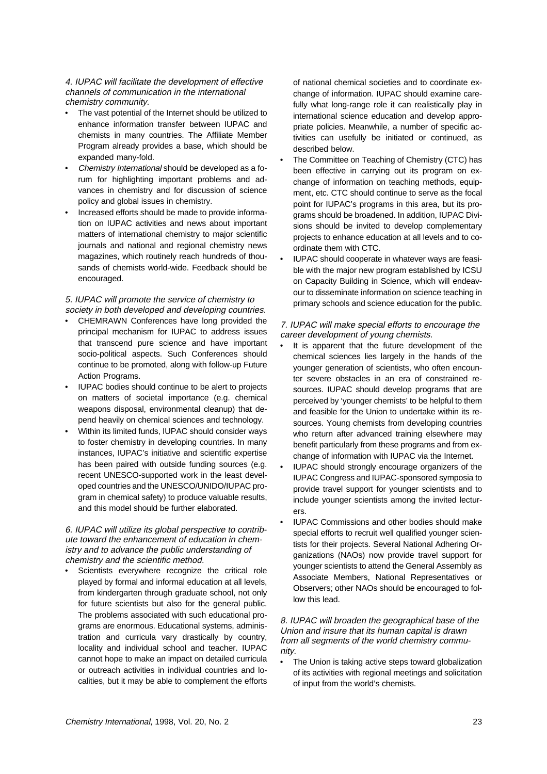#### 4. IUPAC will facilitate the development of effective channels of communication in the international chemistry community.

- The vast potential of the Internet should be utilized to enhance information transfer between IUPAC and chemists in many countries. The Affiliate Member Program already provides a base, which should be expanded many-fold.
- Chemistry International should be developed as a forum for highlighting important problems and advances in chemistry and for discussion of science policy and global issues in chemistry.
- Increased efforts should be made to provide information on IUPAC activities and news about important matters of international chemistry to major scientific journals and national and regional chemistry news magazines, which routinely reach hundreds of thousands of chemists world-wide. Feedback should be encouraged.

## 5. IUPAC will promote the service of chemistry to society in both developed and developing countries.

- CHEMRAWN Conferences have long provided the principal mechanism for IUPAC to address issues that transcend pure science and have important socio-political aspects. Such Conferences should continue to be promoted, along with follow-up Future Action Programs.
- IUPAC bodies should continue to be alert to projects on matters of societal importance (e.g. chemical weapons disposal, environmental cleanup) that depend heavily on chemical sciences and technology.
- Within its limited funds, IUPAC should consider ways to foster chemistry in developing countries. In many instances, IUPAC's initiative and scientific expertise has been paired with outside funding sources (e.g. recent UNESCO-supported work in the least developed countries and the UNESCO/UNIDO/IUPAC program in chemical safety) to produce valuable results, and this model should be further elaborated.

## 6. IUPAC will utilize its global perspective to contribute toward the enhancement of education in chemistry and to advance the public understanding of chemistry and the scientific method.

Scientists everywhere recognize the critical role played by formal and informal education at all levels, from kindergarten through graduate school, not only for future scientists but also for the general public. The problems associated with such educational programs are enormous. Educational systems, administration and curricula vary drastically by country, locality and individual school and teacher. IUPAC cannot hope to make an impact on detailed curricula or outreach activities in individual countries and localities, but it may be able to complement the efforts

of national chemical societies and to coordinate exchange of information. IUPAC should examine carefully what long-range role it can realistically play in international science education and develop appropriate policies. Meanwhile, a number of specific activities can usefully be initiated or continued, as described below.

- The Committee on Teaching of Chemistry (CTC) has been effective in carrying out its program on exchange of information on teaching methods, equipment, etc. CTC should continue to serve as the focal point for IUPAC's programs in this area, but its programs should be broadened. In addition, IUPAC Divisions should be invited to develop complementary projects to enhance education at all levels and to coordinate them with CTC.
- IUPAC should cooperate in whatever ways are feasible with the major new program established by ICSU on Capacity Building in Science, which will endeavour to disseminate information on science teaching in primary schools and science education for the public.

#### 7. IUPAC will make special efforts to encourage the career development of young chemists.

- It is apparent that the future development of the chemical sciences lies largely in the hands of the younger generation of scientists, who often encounter severe obstacles in an era of constrained resources. IUPAC should develop programs that are perceived by 'younger chemists' to be helpful to them and feasible for the Union to undertake within its resources. Young chemists from developing countries who return after advanced training elsewhere may benefit particularly from these programs and from exchange of information with IUPAC via the Internet.
- IUPAC should strongly encourage organizers of the IUPAC Congress and IUPAC-sponsored symposia to provide travel support for younger scientists and to include younger scientists among the invited lecturers.
- IUPAC Commissions and other bodies should make special efforts to recruit well qualified younger scientists for their projects. Several National Adhering Organizations (NAOs) now provide travel support for younger scientists to attend the General Assembly as Associate Members, National Representatives or Observers; other NAOs should be encouraged to follow this lead.

## 8. IUPAC will broaden the geographical base of the Union and insure that its human capital is drawn from all segments of the world chemistry community.

The Union is taking active steps toward globalization of its activities with regional meetings and solicitation of input from the world's chemists.